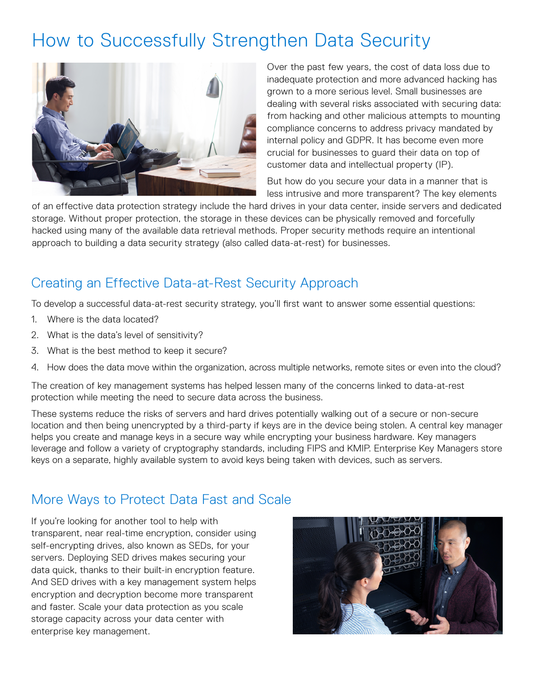## How to Successfully Strengthen Data Security



Over the past few years, the cost of data loss due to inadequate protection and more advanced hacking has grown to a more serious level. Small businesses are dealing with several risks associated with securing data: from hacking and other malicious attempts to mounting compliance concerns to address privacy mandated by internal policy and GDPR. It has become even more crucial for businesses to guard their data on top of customer data and intellectual property (IP).

But how do you secure your data in a manner that is less intrusive and more transparent? The key elements

of an effective data protection strategy include the hard drives in your data center, inside servers and dedicated storage. Without proper protection, the storage in these devices can be physically removed and forcefully hacked using many of the available data retrieval methods. Proper security methods require an intentional approach to building a data security strategy (also called data-at-rest) for businesses.

## Creating an Effective Data-at-Rest Security Approach

To develop a successful data-at-rest security strategy, you'll first want to answer some essential questions:

- 1. Where is the data located?
- 2. What is the data's level of sensitivity?
- 3. What is the best method to keep it secure?
- 4. How does the data move within the organization, across multiple networks, remote sites or even into the cloud?

The creation of key management systems has helped lessen many of the concerns linked to data-at-rest protection while meeting the need to secure data across the business.

These systems reduce the risks of servers and hard drives potentially walking out of a secure or non-secure location and then being unencrypted by a third-party if keys are in the device being stolen. A central key manager helps you create and manage keys in a secure way while encrypting your business hardware. Key managers leverage and follow a variety of cryptography standards, including FIPS and KMIP. Enterprise Key Managers store keys on a separate, highly available system to avoid keys being taken with devices, such as servers.

## More Ways to Protect Data Fast and Scale

If you're looking for another tool to help with transparent, near real-time encryption, consider using self-encrypting drives, also known as SEDs, for your servers. Deploying SED drives makes securing your data quick, thanks to their built-in encryption feature. And SED drives with a key management system helps encryption and decryption become more transparent and faster. Scale your data protection as you scale storage capacity across your data center with enterprise key management.